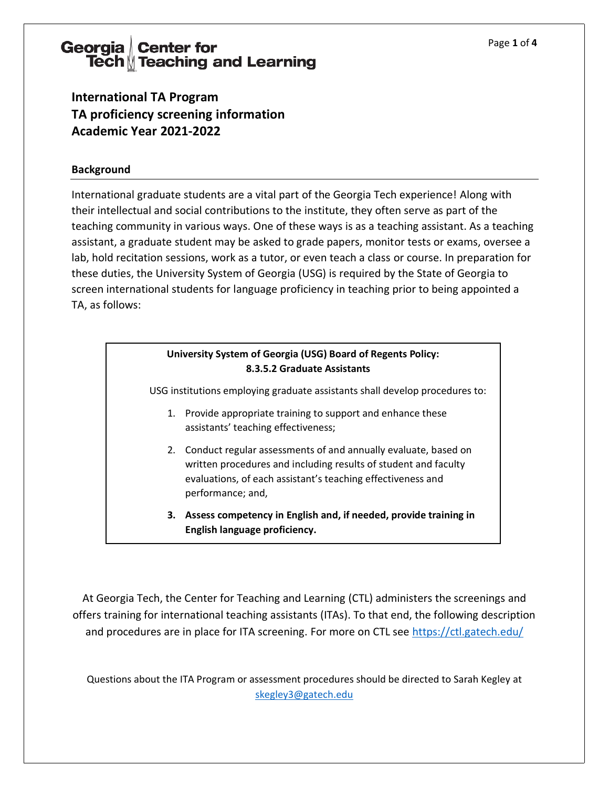# Georgia Center for<br>Tech Teaching and Learning

**International TA Program TA proficiency screening information Academic Year 2021-2022** 

#### **Background**

International graduate students are a vital part of the Georgia Tech experience! Along with their intellectual and social contributions to the institute, they often serve as part of the teaching community in various ways. One of these ways is as a teaching assistant. As a teaching assistant, a graduate student may be asked to grade papers, monitor tests or exams, oversee a lab, hold recitation sessions, work as a tutor, or even teach a class or course. In preparation for these duties, the University System of Georgia (USG) is required by the State of Georgia to screen international students for language proficiency in teaching prior to being appointed a TA, as follows:

#### **University System of Georgia (USG) Board of Regents Policy: 8.3.5.2 Graduate Assistants**

USG institutions employing graduate assistants shall develop procedures to:

- 1. Provide appropriate training to support and enhance these assistants' teaching effectiveness;
- 2. Conduct regular assessments of and annually evaluate, based on written procedures and including results of student and faculty evaluations, of each assistant's teaching effectiveness and performance; and,
- **3. Assess competency in English and, if needed, provide training in English language proficiency.**

At Georgia Tech, the Center for Teaching and Learning (CTL) administers the screenings and offers training for international teaching assistants (ITAs). To that end, the following description and procedures are in place for ITA screening. For more on CTL see<https://ctl.gatech.edu/>

Questions about the ITA Program or assessment procedures should be directed to Sarah Kegley at [skegley3@gatech.edu](https://ctl.gatech.edu/content/skegley3@gatech.edu)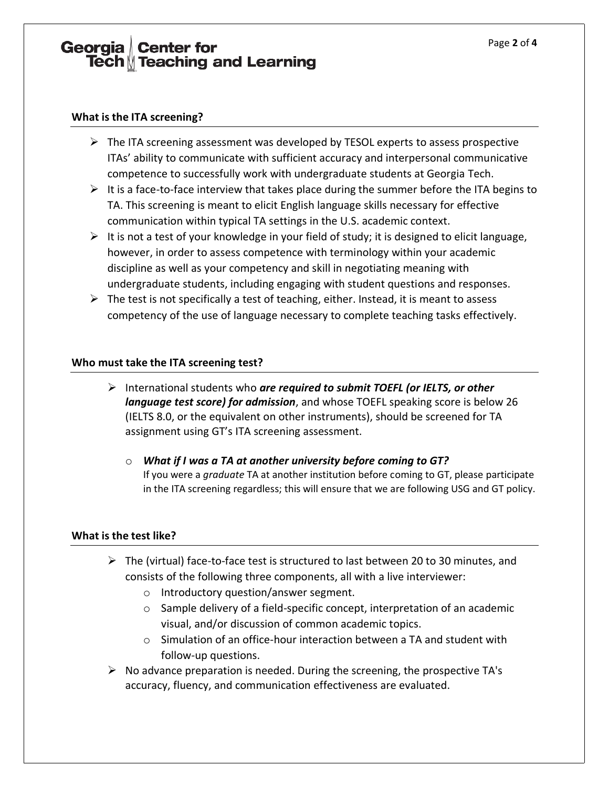## Georgia Center for<br>Tech Teaching and Learning

#### **What is the ITA screening?**

- ➢ The ITA screening assessment was developed by TESOL experts to assess prospective ITAs' ability to communicate with sufficient accuracy and interpersonal communicative competence to successfully work with undergraduate students at Georgia Tech.
- $\triangleright$  It is a face-to-face interview that takes place during the summer before the ITA begins to TA. This screening is meant to elicit English language skills necessary for effective communication within typical TA settings in the U.S. academic context.
- $\triangleright$  It is not a test of your knowledge in your field of study; it is designed to elicit language, however, in order to assess competence with terminology within your academic discipline as well as your competency and skill in negotiating meaning with undergraduate students, including engaging with student questions and responses.
- $\triangleright$  The test is not specifically a test of teaching, either. Instead, it is meant to assess competency of the use of language necessary to complete teaching tasks effectively.

#### **Who must take the ITA screening test?**

- ➢ International students who *are required to submit TOEFL (or IELTS, or other language test score) for admission*, and whose TOEFL speaking score is below 26 (IELTS 8.0, or the equivalent on other instruments), should be screened for TA assignment using GT's ITA screening assessment.
	- o *What if I was a TA at another university before coming to GT?* If you were a *graduate* TA at another institution before coming to GT, please participate in the ITA screening regardless; this will ensure that we are following USG and GT policy.

#### **What is the test like?**

- $\triangleright$  The (virtual) face-to-face test is structured to last between 20 to 30 minutes, and consists of the following three components, all with a live interviewer:
	- o Introductory question/answer segment.
	- $\circ$  Sample delivery of a field-specific concept, interpretation of an academic visual, and/or discussion of common academic topics.
	- o Simulation of an office-hour interaction between a TA and student with follow-up questions.
- $\triangleright$  No advance preparation is needed. During the screening, the prospective TA's accuracy, fluency, and communication effectiveness are evaluated.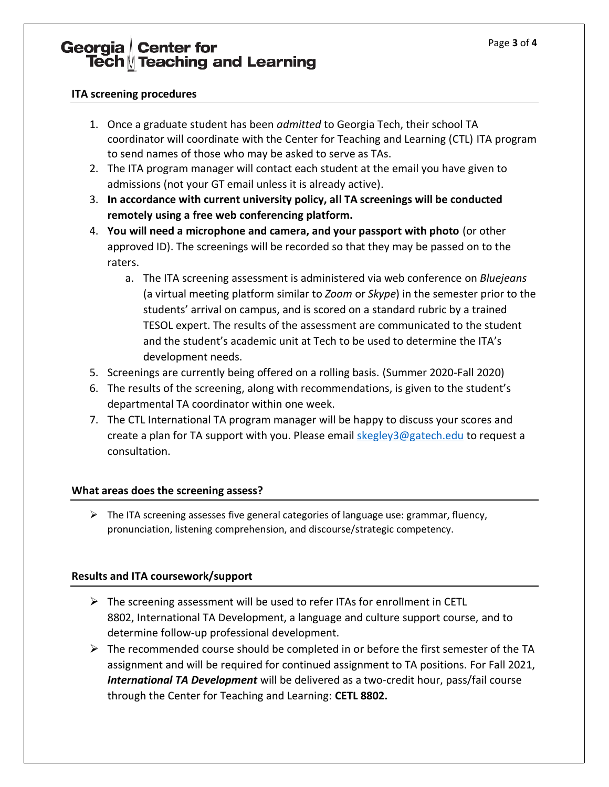### Georgia Center for<br>Tech Teaching and Learning

#### **ITA screening procedures**

- 1. Once a graduate student has been *admitted* to Georgia Tech, their school TA coordinator will coordinate with the Center for Teaching and Learning (CTL) ITA program to send names of those who may be asked to serve as TAs.
- 2. The ITA program manager will contact each student at the email you have given to admissions (not your GT email unless it is already active).
- 3. **In accordance with current university policy, all TA screenings will be conducted remotely using a free web conferencing platform.**
- 4. **You will need a microphone and camera, and your passport with photo** (or other approved ID). The screenings will be recorded so that they may be passed on to the raters.
	- a. The ITA screening assessment is administered via web conference on *Bluejeans* (a virtual meeting platform similar to *Zoom* or *Skype*) in the semester prior to the students' arrival on campus, and is scored on a standard rubric by a trained TESOL expert. The results of the assessment are communicated to the student and the student's academic unit at Tech to be used to determine the ITA's development needs.
- 5. Screenings are currently being offered on a rolling basis. (Summer 2020-Fall 2020)
- 6. The results of the screening, along with recommendations, is given to the student's departmental TA coordinator within one week.
- 7. The CTL International TA program manager will be happy to discuss your scores and create a plan for TA support with you. Please email **skegley3@gatech.edu** to request a consultation.

#### **What areas does the screening assess?**

 $\triangleright$  The ITA screening assesses five general categories of language use: grammar, fluency, pronunciation, listening comprehension, and discourse/strategic competency.

### **Results and ITA coursework/support**

- $\triangleright$  The screening assessment will be used to refer ITAs for enrollment in CETL 8802, International TA Development, a language and culture support course, and to determine follow-up professional development.
- $\triangleright$  The recommended course should be completed in or before the first semester of the TA assignment and will be required for continued assignment to TA positions. For Fall 2021, *International TA Development* will be delivered as a two-credit hour, pass/fail course through the Center for Teaching and Learning: **CETL 8802.**